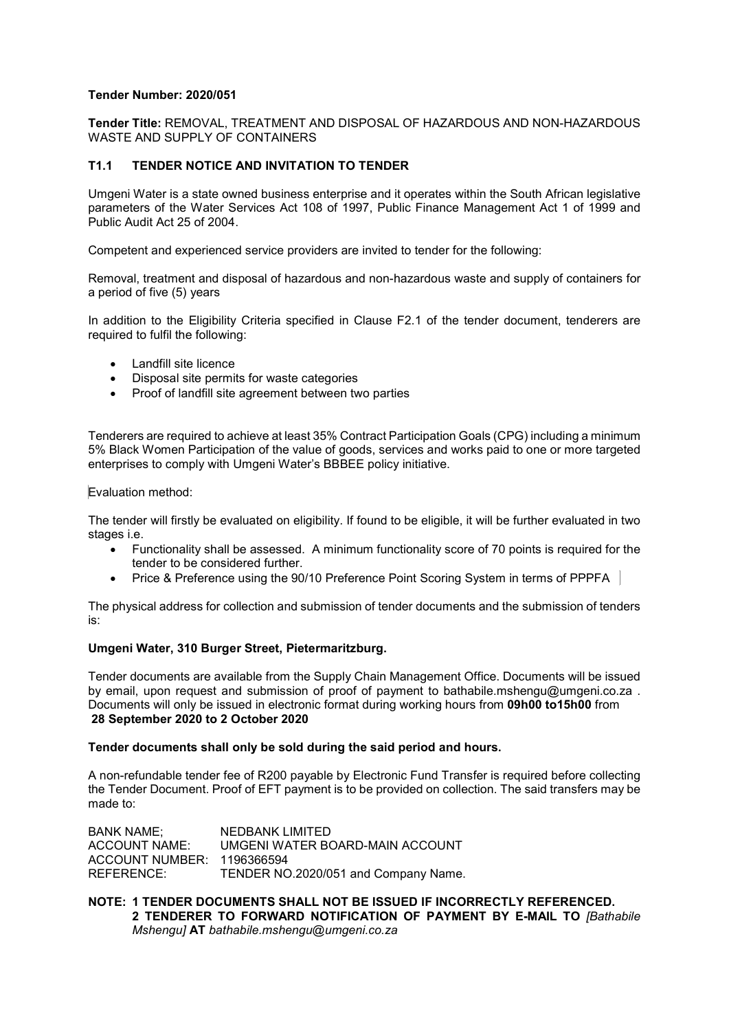# Tender Number: 2020/051

Tender Title: REMOVAL, TREATMENT AND DISPOSAL OF HAZARDOUS AND NON-HAZARDOUS WASTE AND SUPPLY OF CONTAINERS

# T1.1 TENDER NOTICE AND INVITATION TO TENDER

Umgeni Water is a state owned business enterprise and it operates within the South African legislative parameters of the Water Services Act 108 of 1997, Public Finance Management Act 1 of 1999 and Public Audit Act 25 of 2004.

Competent and experienced service providers are invited to tender for the following:

Removal, treatment and disposal of hazardous and non-hazardous waste and supply of containers for a period of five (5) years

In addition to the Eligibility Criteria specified in Clause F2.1 of the tender document, tenderers are required to fulfil the following:

- Landfill site licence
- Disposal site permits for waste categories
- Proof of landfill site agreement between two parties

Tenderers are required to achieve at least 35% Contract Participation Goals (CPG) including a minimum 5% Black Women Participation of the value of goods, services and works paid to one or more targeted enterprises to comply with Umgeni Water's BBBEE policy initiative.

### Evaluation method:

The tender will firstly be evaluated on eligibility. If found to be eligible, it will be further evaluated in two stages i.e.

- Functionality shall be assessed. A minimum functionality score of 70 points is required for the tender to be considered further.
- Price & Preference using the 90/10 Preference Point Scoring System in terms of PPPFA

The physical address for collection and submission of tender documents and the submission of tenders is:

### Umgeni Water, 310 Burger Street, Pietermaritzburg.

Tender documents are available from the Supply Chain Management Office. Documents will be issued by email, upon request and submission of proof of payment to bathabile.mshengu@umgeni.co.za. Documents will only be issued in electronic format during working hours from 09h00 to15h00 from 28 September 2020 to 2 October 2020

### Tender documents shall only be sold during the said period and hours.

A non-refundable tender fee of R200 payable by Electronic Fund Transfer is required before collecting the Tender Document. Proof of EFT payment is to be provided on collection. The said transfers may be made to:

BANK NAME; NEDBANK LIMITED ACCOUNT NAME: UMGENI WATER BOARD-MAIN ACCOUNT ACCOUNT NUMBER: 1196366594 REFERENCE: TENDER NO.2020/051 and Company Name.

## NOTE: 1 TENDER DOCUMENTS SHALL NOT BE ISSUED IF INCORRECTLY REFERENCED. 2 TENDERER TO FORWARD NOTIFICATION OF PAYMENT BY E-MAIL TO [Bathabile Mshengu] AT bathabile.mshengu@umgeni.co.za